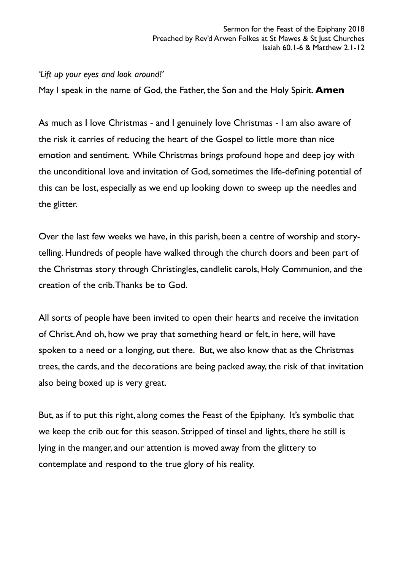## *'Lift up your eyes and look around!'*

May I speak in the name of God, the Father, the Son and the Holy Spirit. **Amen**

As much as I love Christmas - and I genuinely love Christmas - I am also aware of the risk it carries of reducing the heart of the Gospel to little more than nice emotion and sentiment. While Christmas brings profound hope and deep joy with the unconditional love and invitation of God, sometimes the life-defining potential of this can be lost, especially as we end up looking down to sweep up the needles and the glitter.

Over the last few weeks we have, in this parish, been a centre of worship and storytelling. Hundreds of people have walked through the church doors and been part of the Christmas story through Christingles, candlelit carols, Holy Communion, and the creation of the crib. Thanks be to God.

All sorts of people have been invited to open their hearts and receive the invitation of Christ. And oh, how we pray that something heard or felt, in here, will have spoken to a need or a longing, out there. But, we also know that as the Christmas trees, the cards, and the decorations are being packed away, the risk of that invitation also being boxed up is very great.

But, as if to put this right, along comes the Feast of the Epiphany. It's symbolic that we keep the crib out for this season. Stripped of tinsel and lights, there he still is lying in the manger, and our attention is moved away from the glittery to contemplate and respond to the true glory of his reality.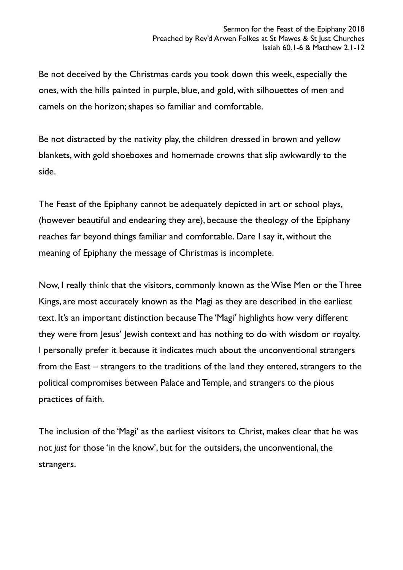Be not deceived by the Christmas cards you took down this week, especially the ones, with the hills painted in purple, blue, and gold, with silhouettes of men and camels on the horizon; shapes so familiar and comfortable.

Be not distracted by the nativity play, the children dressed in brown and yellow blankets, with gold shoeboxes and homemade crowns that slip awkwardly to the side.

The Feast of the Epiphany cannot be adequately depicted in art or school plays, (however beautiful and endearing they are), because the theology of the Epiphany reaches far beyond things familiar and comfortable. Dare I say it, without the meaning of Epiphany the message of Christmas is incomplete.

Now, I really think that the visitors, commonly known as the Wise Men or the Three Kings, are most accurately known as the Magi as they are described in the earliest text. It's an important distinction because The 'Magi' highlights how very different they were from Jesus' Jewish context and has nothing to do with wisdom or royalty. I personally prefer it because it indicates much about the unconventional strangers from the East – strangers to the traditions of the land they entered, strangers to the political compromises between Palace and Temple, and strangers to the pious practices of faith.

The inclusion of the 'Magi' as the earliest visitors to Christ, makes clear that he was not *just* for those 'in the know', but for the outsiders, the unconventional, the strangers.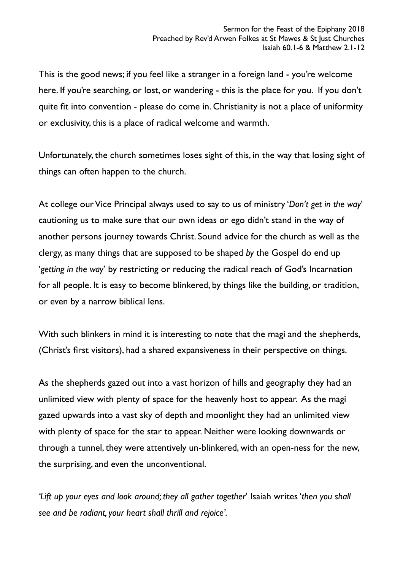This is the good news; if you feel like a stranger in a foreign land - you're welcome here. If you're searching, or lost, or wandering - this is the place for you. If you don't quite fit into convention - please do come in. Christianity is not a place of uniformity or exclusivity, this is a place of radical welcome and warmth.

Unfortunately, the church sometimes loses sight of this, in the way that losing sight of things can often happen to the church.

At college our Vice Principal always used to say to us of ministry '*Don't get in the way*' cautioning us to make sure that our own ideas or ego didn't stand in the way of another persons journey towards Christ. Sound advice for the church as well as the clergy, as many things that are supposed to be shaped *by* the Gospel do end up '*getting in the way*' by restricting or reducing the radical reach of God's Incarnation for all people. It is easy to become blinkered, by things like the building, or tradition, or even by a narrow biblical lens.

With such blinkers in mind it is interesting to note that the magi and the shepherds, (Christ's first visitors), had a shared expansiveness in their perspective on things.

As the shepherds gazed out into a vast horizon of hills and geography they had an unlimited view with plenty of space for the heavenly host to appear. As the magi gazed upwards into a vast sky of depth and moonlight they had an unlimited view with plenty of space for the star to appear. Neither were looking downwards or through a tunnel, they were attentively un-blinkered, with an open-ness for the new, the surprising, and even the unconventional.

*'Lift up your eyes and look around; they all gather together*' Isaiah writes '*then you shall see and be radiant, your heart shall thrill and rejoice'.*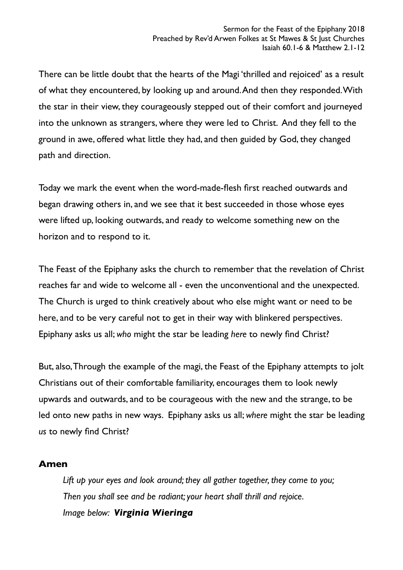There can be little doubt that the hearts of the Magi 'thrilled and rejoiced' as a result of what they encountered, by looking up and around. And then they responded. With the star in their view, they courageously stepped out of their comfort and journeyed into the unknown as strangers, where they were led to Christ. And they fell to the ground in awe, offered what little they had, and then guided by God, they changed path and direction.

Today we mark the event when the word-made-flesh first reached outwards and began drawing others in, and we see that it best succeeded in those whose eyes were lifted up, looking outwards, and ready to welcome something new on the horizon and to respond to it.

The Feast of the Epiphany asks the church to remember that the revelation of Christ reaches far and wide to welcome all - even the unconventional and the unexpected. The Church is urged to think creatively about who else might want or need to be here, and to be very careful not to get in their way with blinkered perspectives. Epiphany asks us all; *who* might the star be leading *here* to newly find Christ?

But, also, Through the example of the magi, the Feast of the Epiphany attempts to jolt Christians out of their comfortable familiarity, encourages them to look newly upwards and outwards, and to be courageous with the new and the strange, to be led onto new paths in new ways. Epiphany asks us all; *where* might the star be leading *us* to newly find Christ?

## **Amen**

*Lift up your eyes and look around; they all gather together, they come to you; Then you shall see and be radiant; your heart shall thrill and rejoice. Image below: Virginia Wieringa*